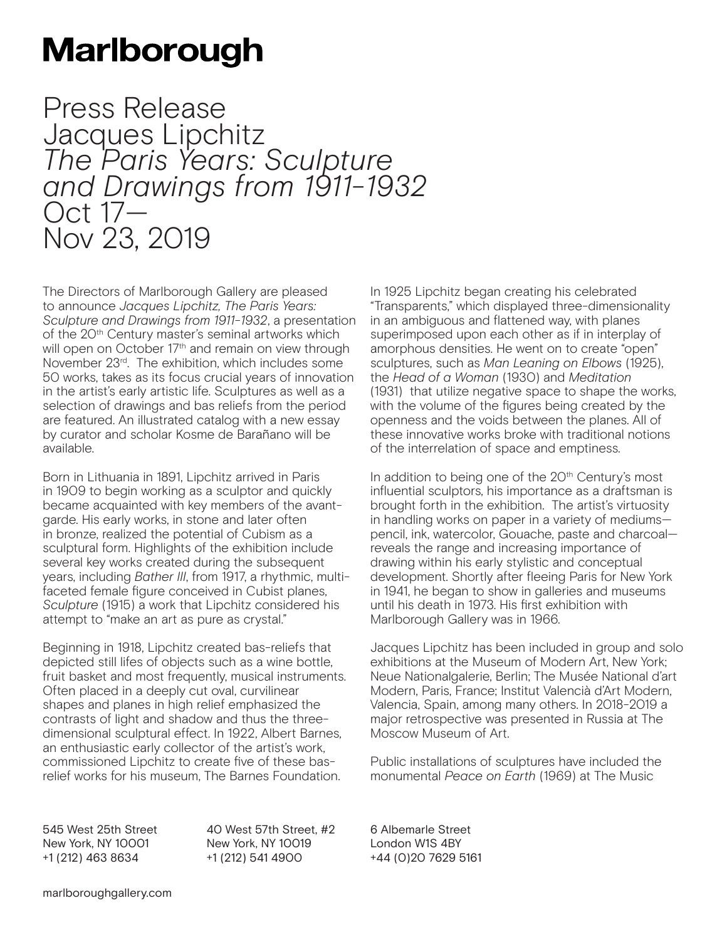## **Marlborough**

Press Release Jacques Lipchitz<br>The Paris Years: Sculpture *The Paris Years: Sculpture and Drawings from 1911-1932* Oct 17— Nov 23, 2019

The Directors of Marlborough Gallery are pleased to announce *Jacques Lipchitz, The Paris Years: Sculpture and Drawings from 1911-1932*, a presentation of the 20<sup>th</sup> Century master's seminal artworks which will open on October 17<sup>th</sup> and remain on view through November 23rd. The exhibition, which includes some 50 works, takes as its focus crucial years of innovation in the artist's early artistic life. Sculptures as well as a selection of drawings and bas reliefs from the period are featured. An illustrated catalog with a new essay by curator and scholar Kosme de Barañano will be available.

Born in Lithuania in 1891, Lipchitz arrived in Paris in 1909 to begin working as a sculptor and quickly became acquainted with key members of the avantgarde. His early works, in stone and later often in bronze, realized the potential of Cubism as a sculptural form. Highlights of the exhibition include several key works created during the subsequent years, including *Bather III*, from 1917, a rhythmic, multifaceted female figure conceived in Cubist planes, *Sculpture* (1915) a work that Lipchitz considered his attempt to "make an art as pure as crystal."

Beginning in 1918, Lipchitz created bas-reliefs that depicted still lifes of objects such as a wine bottle, fruit basket and most frequently, musical instruments. Often placed in a deeply cut oval, curvilinear shapes and planes in high relief emphasized the contrasts of light and shadow and thus the threedimensional sculptural effect. In 1922, Albert Barnes, an enthusiastic early collector of the artist's work, commissioned Lipchitz to create five of these basrelief works for his museum, The Barnes Foundation.

In 1925 Lipchitz began creating his celebrated "Transparents," which displayed three-dimensionality in an ambiguous and flattened way, with planes superimposed upon each other as if in interplay of amorphous densities. He went on to create "open" sculptures, such as *Man Leaning on Elbows* (1925), the *Head of a Woman* (1930) and *Meditation* (1931) that utilize negative space to shape the works, with the volume of the figures being created by the openness and the voids between the planes. All of these innovative works broke with traditional notions of the interrelation of space and emptiness.

In addition to being one of the 20<sup>th</sup> Century's most influential sculptors, his importance as a draftsman is brought forth in the exhibition. The artist's virtuosity in handling works on paper in a variety of mediums pencil, ink, watercolor, Gouache, paste and charcoal reveals the range and increasing importance of drawing within his early stylistic and conceptual development. Shortly after fleeing Paris for New York in 1941, he began to show in galleries and museums until his death in 1973. His first exhibition with Marlborough Gallery was in 1966.

Jacques Lipchitz has been included in group and solo exhibitions at the Museum of Modern Art, New York; Neue Nationalgalerie, Berlin; The Musée National d'art Modern, Paris, France; Institut Valencià d'Art Modern, Valencia, Spain, among many others. In 2018-2019 a major retrospective was presented in Russia at The Moscow Museum of Art.

Public installations of sculptures have included the monumental *Peace on Earth* (1969) at The Music

545 West 25th Street New York, NY 10001 +1 (212) 463 8634

40 West 57th Street, #2 New York, NY 10019 +1 (212) 541 4900

6 Albemarle Street London W1S 4BY +44 (0)20 7629 5161